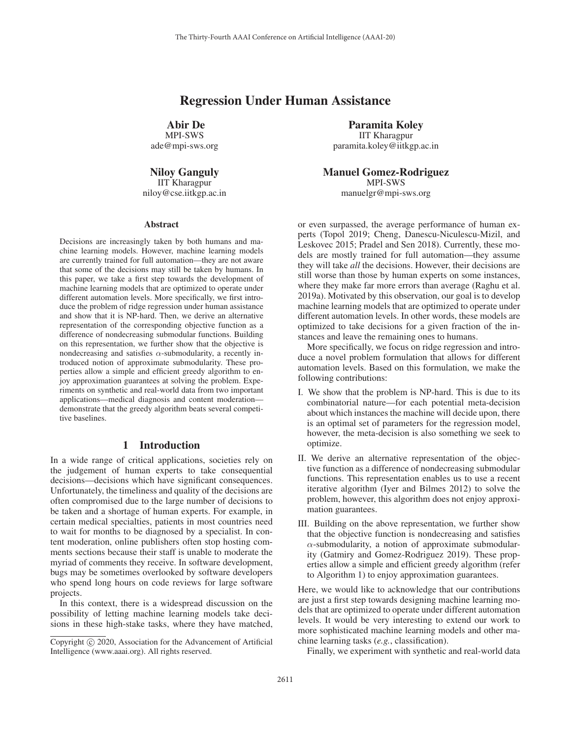## Regression Under Human Assistance

Abir De

MPI-SWS ade@mpi-sws.org

Niloy Ganguly IIT Kharagpur niloy@cse.iitkgp.ac.in

#### Abstract

Decisions are increasingly taken by both humans and machine learning models. However, machine learning models are currently trained for full automation—they are not aware that some of the decisions may still be taken by humans. In this paper, we take a first step towards the development of machine learning models that are optimized to operate under different automation levels. More specifically, we first introduce the problem of ridge regression under human assistance and show that it is NP-hard. Then, we derive an alternative representation of the corresponding objective function as a difference of nondecreasing submodular functions. Building on this representation, we further show that the objective is nondecreasing and satisfies  $\alpha$ -submodularity, a recently introduced notion of approximate submodularity. These properties allow a simple and efficient greedy algorithm to enjoy approximation guarantees at solving the problem. Experiments on synthetic and real-world data from two important applications—medical diagnosis and content moderation demonstrate that the greedy algorithm beats several competitive baselines.

#### 1 Introduction

In a wide range of critical applications, societies rely on the judgement of human experts to take consequential decisions—decisions which have significant consequences. Unfortunately, the timeliness and quality of the decisions are often compromised due to the large number of decisions to be taken and a shortage of human experts. For example, in certain medical specialties, patients in most countries need to wait for months to be diagnosed by a specialist. In content moderation, online publishers often stop hosting comments sections because their staff is unable to moderate the myriad of comments they receive. In software development, bugs may be sometimes overlooked by software developers who spend long hours on code reviews for large software projects.

In this context, there is a widespread discussion on the possibility of letting machine learning models take decisions in these high-stake tasks, where they have matched,

Paramita Koley IIT Kharagpur paramita.koley@iitkgp.ac.in

Manuel Gomez-Rodriguez MPI-SWS manuelgr@mpi-sws.org

or even surpassed, the average performance of human experts (Topol 2019; Cheng, Danescu-Niculescu-Mizil, and Leskovec 2015; Pradel and Sen 2018). Currently, these models are mostly trained for full automation—they assume they will take *all* the decisions. However, their decisions are still worse than those by human experts on some instances, where they make far more errors than average (Raghu et al. 2019a). Motivated by this observation, our goal is to develop machine learning models that are optimized to operate under different automation levels. In other words, these models are optimized to take decisions for a given fraction of the instances and leave the remaining ones to humans.

More specifically, we focus on ridge regression and introduce a novel problem formulation that allows for different automation levels. Based on this formulation, we make the following contributions:

- I. We show that the problem is NP-hard. This is due to its combinatorial nature—for each potential meta-decision about which instances the machine will decide upon, there is an optimal set of parameters for the regression model, however, the meta-decision is also something we seek to optimize.
- II. We derive an alternative representation of the objective function as a difference of nondecreasing submodular functions. This representation enables us to use a recent iterative algorithm (Iyer and Bilmes 2012) to solve the problem, however, this algorithm does not enjoy approximation guarantees.
- III. Building on the above representation, we further show that the objective function is nondecreasing and satisfies  $\alpha$ -submodularity, a notion of approximate submodularity (Gatmiry and Gomez-Rodriguez 2019). These properties allow a simple and efficient greedy algorithm (refer to Algorithm 1) to enjoy approximation guarantees.

Here, we would like to acknowledge that our contributions are just a first step towards designing machine learning models that are optimized to operate under different automation levels. It would be very interesting to extend our work to more sophisticated machine learning models and other machine learning tasks (*e.g.*, classification).

Finally, we experiment with synthetic and real-world data

Copyright  $\odot$  2020, Association for the Advancement of Artificial Intelligence (www.aaai.org). All rights reserved.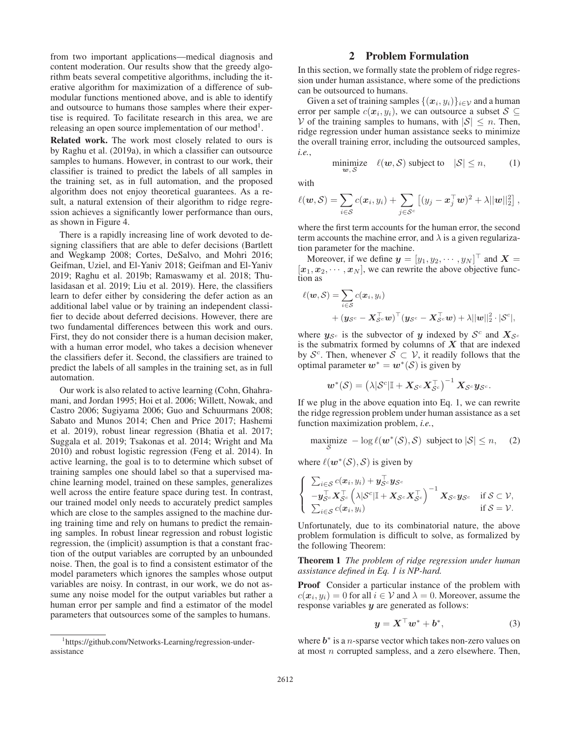from two important applications—medical diagnosis and content moderation. Our results show that the greedy algorithm beats several competitive algorithms, including the iterative algorithm for maximization of a difference of submodular functions mentioned above, and is able to identify and outsource to humans those samples where their expertise is required. To facilitate research in this area, we are releasing an open source implementation of our method<sup>1</sup>.

Related work. The work most closely related to ours is by Raghu et al. (2019a), in which a classifier can outsource samples to humans. However, in contrast to our work, their classifier is trained to predict the labels of all samples in the training set, as in full automation, and the proposed algorithm does not enjoy theoretical guarantees. As a result, a natural extension of their algorithm to ridge regression achieves a significantly lower performance than ours, as shown in Figure 4.

There is a rapidly increasing line of work devoted to designing classifiers that are able to defer decisions (Bartlett and Wegkamp 2008; Cortes, DeSalvo, and Mohri 2016; Geifman, Uziel, and El-Yaniv 2018; Geifman and El-Yaniv 2019; Raghu et al. 2019b; Ramaswamy et al. 2018; Thulasidasan et al. 2019; Liu et al. 2019). Here, the classifiers learn to defer either by considering the defer action as an additional label value or by training an independent classifier to decide about deferred decisions. However, there are two fundamental differences between this work and ours. First, they do not consider there is a human decision maker, with a human error model, who takes a decision whenever the classifiers defer it. Second, the classifiers are trained to predict the labels of all samples in the training set, as in full automation.

Our work is also related to active learning (Cohn, Ghahramani, and Jordan 1995; Hoi et al. 2006; Willett, Nowak, and Castro 2006; Sugiyama 2006; Guo and Schuurmans 2008; Sabato and Munos 2014; Chen and Price 2017; Hashemi et al. 2019), robust linear regression (Bhatia et al. 2017; Suggala et al. 2019; Tsakonas et al. 2014; Wright and Ma 2010) and robust logistic regression (Feng et al. 2014). In active learning, the goal is to to determine which subset of training samples one should label so that a supervised machine learning model, trained on these samples, generalizes well across the entire feature space during test. In contrast, our trained model only needs to accurately predict samples which are close to the samples assigned to the machine during training time and rely on humans to predict the remaining samples. In robust linear regression and robust logistic regression, the (implicit) assumption is that a constant fraction of the output variables are corrupted by an unbounded noise. Then, the goal is to find a consistent estimator of the model parameters which ignores the samples whose output variables are noisy. In contrast, in our work, we do not assume any noise model for the output variables but rather a human error per sample and find a estimator of the model parameters that outsources some of the samples to humans.

### 2 Problem Formulation

In this section, we formally state the problem of ridge regression under human assistance, where some of the predictions can be outsourced to humans.

Given a set of training samples  $\{(x_i, y_i)\}_{i \in \mathcal{V}}$  and a human error per sample  $c(\mathbf{x}_i, y_i)$ , we can outsource a subset  $S \subseteq$ V of the training samples to humans, with  $|S| \leq n$ . Then, ridge regression under human assistance seeks to minimize the overall training error, including the outsourced samples, *i.e.*,

minimize 
$$
\ell(\mathbf{w}, \mathcal{S})
$$
 subject to  $|\mathcal{S}| \le n$ , (1)

with

$$
\ell(\boldsymbol{w}, \mathcal{S}) = \sum_{i \in \mathcal{S}} c(\boldsymbol{x}_i, y_i) + \sum_{j \in \mathcal{S}^c} \left[ (y_j - \boldsymbol{x}_j^\top \boldsymbol{w})^2 + \lambda ||\boldsymbol{w}||_2^2 \right],
$$

where the first term accounts for the human error, the second term accounts the machine error, and  $\lambda$  is a given regularization parameter for the machine.

Moreover, if we define  $y = [y_1, y_2, \dots, y_N]$  and  $X =$  $[x_1, x_2, \cdots, x_N]$ , we can rewrite the above objective function as tion as

$$
\ell(\boldsymbol{w}, \mathcal{S}) = \sum_{i \in \mathcal{S}} c(\boldsymbol{x}_i, y_i)
$$
  
+  $(\boldsymbol{y}_{\mathcal{S}^c} - \boldsymbol{X}_{\mathcal{S}^c}^{\top} \boldsymbol{w})^{\top} (\boldsymbol{y}_{\mathcal{S}^c} - \boldsymbol{X}_{\mathcal{S}^c}^{\top} \boldsymbol{w}) + \lambda ||\boldsymbol{w}||_2^2 \cdot |\mathcal{S}^c|,$ 

where  $y_{\mathcal{S}^c}$  is the subvector of *y* indexed by  $\mathcal{S}^c$  and  $X_{\mathcal{S}^c}$ is the submatrix formed by columns of *X* that are indexed by  $S^c$ . Then, whenever  $S \subset V$ , it readily follows that the optimal parameter  $w^* = w^*(\mathcal{S})$  is given by

$$
\boldsymbol{w}^*(\mathcal{S}) = \left(\lambda |\mathcal{S}^c| \mathbb{I} + \boldsymbol{X}_{\mathcal{S}^c} \boldsymbol{X}_{\mathcal{S}^c}^\top\right)^{-1} \boldsymbol{X}_{\mathcal{S}^c} \boldsymbol{y}_{\mathcal{S}^c}.
$$

If we plug in the above equation into Eq. 1, we can rewrite the ridge regression problem under human assistance as a set function maximization problem, *i.e.*,

$$
\underset{\mathcal{S}}{\text{maximize}} - \log \ell(\boldsymbol{w}^*(\mathcal{S}), \mathcal{S}) \text{ subject to } |\mathcal{S}| \leq n, \quad (2)
$$

where  $\ell(\mathbf{w}^*(\mathcal{S}), \mathcal{S})$  is given by

$$
\begin{cases} \sum_{i \in S} c(x_i, y_i) + \mathbf{y}_{S^c}^{\perp} \mathbf{y}_{S^c} \\ -\mathbf{y}_{S^c}^{\top} \mathbf{X}_{S^c}^{\top} \left( \lambda |S^c| \mathbb{I} + \mathbf{X}_{S^c} \mathbf{X}_{S^c}^{\top} \right)^{-1} \mathbf{X}_{S^c} \mathbf{y}_{S^c} & \text{if } S \subset \mathcal{V}, \\ \sum_{i \in S} c(x_i, y_i) & \text{if } S = \mathcal{V}. \end{cases}
$$

Unfortunately, due to its combinatorial nature, the above problem formulation is difficult to solve, as formalized by the following Theorem:

Theorem 1 *The problem of ridge regression under human assistance defined in Eq. 1 is NP-hard.*

Proof Consider a particular instance of the problem with  $c(\mathbf{x}_i, y_i)=0$  for all  $i \in \mathcal{V}$  and  $\lambda = 0$ . Moreover, assume the response variables *y* are generated as follows:

$$
y = X^{\perp} w^* + b^*, \tag{3}
$$

where  $b^*$  is a *n*-sparse vector which takes non-zero values on at most n corrupted sampless, and a zero elsewhere. Then,

<sup>1</sup> https://github.com/Networks-Learning/regression-underassistance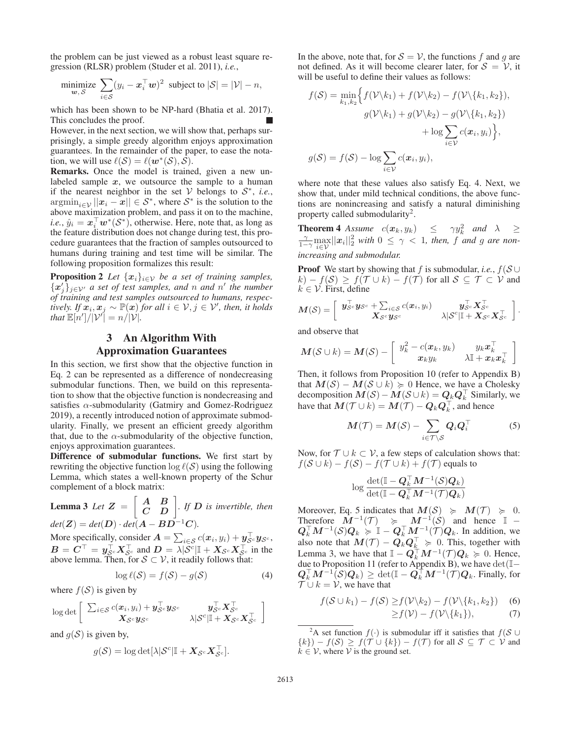the problem can be just viewed as a robust least square regression (RLSR) problem (Studer et al. 2011), *i.e.*,

$$
\underset{\boldsymbol{w}, S}{\text{minimize}} \sum_{i \in S} (y_i - \boldsymbol{x}_i^{\top} \boldsymbol{w})^2 \text{ subject to } |\mathcal{S}| = |\mathcal{V}| - n,
$$

which has been shown to be NP-hard (Bhatia et al. 2017). This concludes the proof.

However, in the next section, we will show that, perhaps surprisingly, a simple greedy algorithm enjoys approximation guarantees. In the remainder of the paper, to ease the notation, we will use  $\ell(S) = \ell(w^*(S), S)$ .

Remarks. Once the model is trained, given a new unlabeled sample  $x$ , we outsource the sample to a human if the nearest neighbor in the set  $V$  belongs to  $S^*$ , *i.e.*,  $\operatorname{argmin}_{i \in \mathcal{V}} ||x_i - x|| \in \mathcal{S}^*$ , where  $\mathcal{S}^*$  is the solution to the above maximization problem, and pass it on to the machine, *i.e.*,  $\hat{y}_i = x_i^{\top} w^*(\mathcal{S}^*)$ , otherwise. Here, note that, as long as the feature distribution does not change during test, this procedure guarantees that the fraction of samples outsourced to humans during training and test time will be similar. The following proposition formalizes this result:

**Proposition 2** *Let*  $\{x_i\}_{i\in\mathcal{V}}$  *be a set of training samples,*  ${x'_j}_{j \in V'}$  *a set of test samples, and n and n' the number of training and test samples outsourced to humans, respectively.* If  $\mathbf{x}_i, \mathbf{x}_j$  ∼  $\mathbb{P}(\mathbf{x})$  *for all*  $i \in \mathcal{V}, j \in \mathcal{V}$ *', then, it holds* that  $\mathbb{E}[n']/|\mathcal{V}'| = n/|\mathcal{V}|$ .

# 3 An Algorithm With Approximation Guarantees

In this section, we first show that the objective function in Eq. 2 can be represented as a difference of nondecreasing submodular functions. Then, we build on this representation to show that the objective function is nondecreasing and satisfies  $\alpha$ -submodularity (Gatmiry and Gomez-Rodriguez 2019), a recently introduced notion of approximate submodularity. Finally, we present an efficient greedy algorithm that, due to the  $\alpha$ -submodularity of the objective function, enjoys approximation guarantees.

Difference of submodular functions. We first start by rewriting the objective function  $\log \ell(S)$  using the following Lemma, which states a well-known property of the Schur complement of a block matrix:

**Lemma 3** Let  $Z = \begin{bmatrix} A & B \\ C & D \end{bmatrix}$ . If  $D$  is invertible, then  $det(Z) = det(D) \cdot det(A - BD^{-1}C)$ .

More specifically, consider  $A = \sum_{i \in S} c(x_i, y_i) + y_{S}^{\dagger}{}_{\infty}y_{S^c}$ ,  $B = C^{\top} = y_{S^c}^{\top} X_{S^c}^{\top}$  and  $D = \lambda |S^c| \mathbb{I} + X_{S^c} X_{S^c}^{\top}$  in the above lemma. Then, for  $S \subset V$ , it readily follows that:

$$
\log \ell(\mathcal{S}) = f(\mathcal{S}) - g(\mathcal{S}) \tag{4}
$$

where  $f(S)$  is given by

$$
\log \det \left[ \begin{array}{cc} \sum_{i \in \mathcal{S}} c(\boldsymbol{x}_i, y_i) + \boldsymbol{y}_{\mathcal{S}^c}^\top \boldsymbol{y}_{\mathcal{S}^c} & \boldsymbol{y}_{\mathcal{S}^c}^\top \boldsymbol{X}_{\mathcal{S}^c}^\top \\ \boldsymbol{X}_{\mathcal{S}^c} \boldsymbol{y}_{\mathcal{S}^c} & \lambda |\mathcal{S}^c| \mathbb{I} + \boldsymbol{X}_{\mathcal{S}^c} \boldsymbol{X}_{\mathcal{S}^c}^\top \end{array} \right]
$$

and  $q(S)$  is given by,

$$
g(\mathcal{S}) = \log \det[\lambda |\mathcal{S}^c| \mathbb{I} + \mathbf{X}_{\mathcal{S}^c} \mathbf{X}_{\mathcal{S}^c}^{\top}].
$$

In the above, note that, for  $S = V$ , the functions f and g are not defined. As it will become clearer later, for  $S = V$ , it will be useful to define their values as follows:

$$
f(\mathcal{S}) = \min_{k_1, k_2} \Big\{ f(\mathcal{V} \setminus k_1) + f(\mathcal{V} \setminus k_2) - f(\mathcal{V} \setminus \{k_1, k_2\}),
$$

$$
g(\mathcal{V} \setminus k_1) + g(\mathcal{V} \setminus k_2) - g(\mathcal{V} \setminus \{k_1, k_2\})
$$

$$
+ \log \sum_{i \in \mathcal{V}} c(\mathbf{x}_i, y_i) \Big\},
$$

$$
g(\mathcal{S}) = f(\mathcal{S}) - \log \sum_{i \in \mathcal{V}} c(\mathbf{x}_i, y_i),
$$

where note that these values also satisfy Eq. 4. Next, we show that, under mild technical conditions, the above functions are nonincreasing and satisfy a natural diminishing property called submodularity<sup>2</sup>.

**Theorem 4** *Assume*  $c(\mathbf{x}_k, y_k) \leq \gamma y_k^2$  *and*  $\lambda \geq \frac{\gamma}{1-\gamma} \max_{i \in \mathcal{V}} ||\mathbf{x}_i||_2^2$  *with*  $0 \leq \gamma < 1$ *, then, f and g are nonincreasing and submodular.*

**Proof** We start by showing that f is submodular, *i.e.*,  $f(S \cup$  $k - f(S) \geq f(\mathcal{T} \cup k) - f(\mathcal{T})$  for all  $S \subseteq \mathcal{T} \subset \mathcal{V}$  and  $k \in V$ . First, define

$$
\boldsymbol{M}(\mathcal{S}) = \left[\begin{array}{cc} \boldsymbol{y}_{\mathcal{S}^c}^\top \boldsymbol{y}_{\mathcal{S}^c} + \sum_{i \in \mathcal{S}} c(\boldsymbol{x}_i, y_i) & \boldsymbol{y}_{\mathcal{S}^c}^\top \boldsymbol{X}_{\mathcal{S}^c}^\top \\ \boldsymbol{X}_{\mathcal{S}^c} \boldsymbol{y}_{\mathcal{S}^c} & \lambda|\mathcal{S}^c|\mathbb{I} + \boldsymbol{X}_{\mathcal{S}^c} \boldsymbol{X}_{\mathcal{S}^c}^\top \end{array}\right].
$$

and observe that

$$
\boldsymbol{M}(\mathcal{S} \cup k) = \boldsymbol{M}(\mathcal{S}) - \left[ \begin{array}{cc} y_k^2 - c(\boldsymbol{x}_k, y_k) & y_k \boldsymbol{x}_k^\top \\ \boldsymbol{x}_k y_k & \lambda \mathbb{I} + \boldsymbol{x}_k \boldsymbol{x}_k^\top \end{array} \right]
$$

Then, it follows from Proposition 10 (refer to Appendix B) that  $M(S) - M(S \cup k) \geq 0$  Hence, we have a Cholesky decomposition  $M(S) - M(S \cup k) = Q_k Q_k^{\top}$  Similarly, we have that  $\boldsymbol{M}(\mathcal{T}\cup k)=\boldsymbol{M}(\mathcal{T})-\boldsymbol{Q}_k\boldsymbol{Q}_k^\top$  , and hence

$$
M(\mathcal{T}) = M(\mathcal{S}) - \sum_{i \in \mathcal{T} \setminus \mathcal{S}} Q_i Q_i^{\top}
$$
 (5)

Now, for  $T \cup k \subset V$ , a few steps of calculation shows that:  $f(\mathcal{S} \cup k) - f(\mathcal{S}) - f(\mathcal{T} \cup k) + f(\mathcal{T})$  equals to

$$
\log\frac{\det(\mathbb{I}-\boldsymbol{Q}_{k}^{\top}\boldsymbol{M}^{-1}(\boldsymbol{\mathcal{S}})\boldsymbol{Q}_{k})}{\det(\mathbb{I}-\boldsymbol{Q}_{k}^{\top}\boldsymbol{M}^{-1}(\mathcal{T})\boldsymbol{Q}_{k})}
$$

Moreover, Eq. 5 indicates that  $M(S) \ge M(\mathcal{T}) \ge 0$ . Therefore  $\dot{M}^{-1}(\mathcal{T}) \geq M^{-1}(\mathcal{S})$  and hence  $\mathbb{I}$  –  $Q_k^\top M^{-1}(\mathcal{S})Q_k \geq \mathbb{I} - Q_k^\top M^{-1}(\mathcal{T})Q_k$ . In addition, we also note that  $M(\mathcal{T}) - Q_k Q_k^{\perp} \geq 0$ . This, together with Lemma 3, we have that  $\mathbb{I} - Q_k^{\top} M^{-1}(\mathcal{T}) Q_k \ge 0$ . Hence, due to Proposition 11 (refer to Appendix B), we have  $det(\mathbb{I} Q_k^{\top} M^{-1}(\mathcal{S}) Q_k) \ge \det(\mathbb{I} - Q_k^{\top} M^{-1}(\mathcal{T}) Q_k$ . Finally, for  $\mathcal{T} \cup k = \mathcal{V}$ , we have that

$$
f(S \cup k_1) - f(S) \ge f(\mathcal{V} \setminus k_2) - f(\mathcal{V} \setminus \{k_1, k_2\}) \quad (6)
$$
  
 
$$
\ge f(\mathcal{V}) - f(\mathcal{V} \setminus \{k_1\}), \quad (7)
$$

<sup>2</sup>A set function  $f(\cdot)$  is submodular iff it satisfies that  $f(S \cup$  $\{k\}$ ) –  $f(\mathcal{S}) \geq f(\mathcal{T} \cup \{k\}) - f(\mathcal{T})$  for all  $\mathcal{S} \subseteq \mathcal{T} \subset \mathcal{V}$  and  $k \in \mathcal{V}$ , where  $\mathcal V$  is the ground set.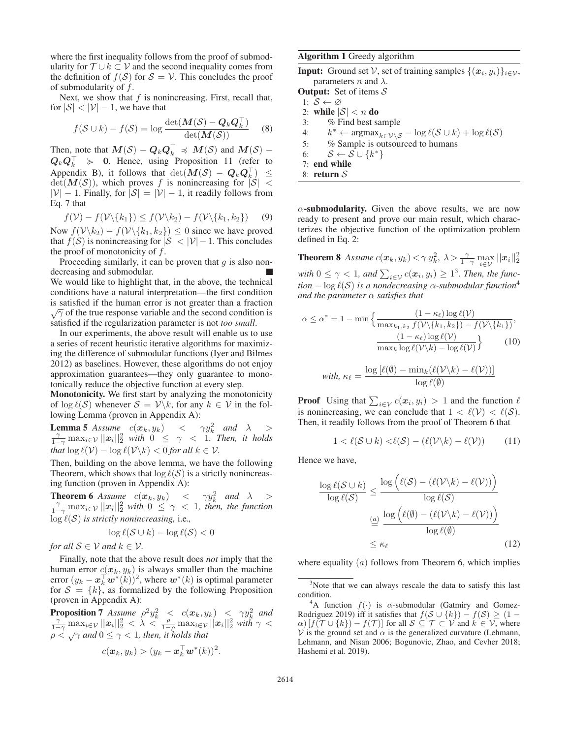where the first inequality follows from the proof of submodularity for  $T \cup k \subset V$  and the second inequality comes from the definition of  $f(S)$  for  $S = V$ . This concludes the proof of submodularity of  $f$ .

Next, we show that  $f$  is nonincreasing. First, recall that, for  $|\mathcal{S}| < |\mathcal{V}| - 1$ , we have that

$$
f(S \cup k) - f(S) = \log \frac{\det(M(S) - Q_k Q_k^{\perp})}{\det(M(S))}
$$
 (8)

Then, note that  $M(S) - Q_k Q_k^+ \preccurlyeq M(S)$  and  $M(S) Q_k Q_k^\top \geqslant 0$ . Hence, using Proposition 11 (refer to Appendix B), it follows that  $\det(M(\mathcal{S}) - \mathcal{Q}_k \mathcal{Q}_k^\perp) \leq$  $\det(M(S))$ , which proves f is nonincreasing for  $|S|$  <  $|\mathcal{V}| - 1$ . Finally, for  $|\mathcal{S}| = |\mathcal{V}| - 1$ , it readily follows from Eq. 7 that

$$
f(\mathcal{V}) - f(\mathcal{V} \setminus \{k_1\}) \le f(\mathcal{V} \setminus k_2) - f(\mathcal{V} \setminus \{k_1, k_2\}) \tag{9}
$$

Now  $f(V\backslash k_2) - f(V\backslash \{k_1, k_2\}) \leq 0$  since we have proved<br>that  $f(S)$  is nonincreasing for  $|S| > |V| - 1$ . This concludes that  $f(S)$  is nonincreasing for  $|S| < |V| - 1$ . This concludes the proof of monotonicity of  $f$ .

Proceeding similarly, it can be proven that  $g$  is also nondecreasing and submodular. We would like to highlight that, in the above, the technical conditions have a natural interpretation—the first condition is satisfied if the human error is not greater than a fraction  $\sqrt{\gamma}$  of the true response variable and the second condition is satisfied if the regularization parameter is not *too small*.

In our experiments, the above result will enable us to use a series of recent heuristic iterative algorithms for maximizing the difference of submodular functions (Iyer and Bilmes 2012) as baselines. However, these algorithms do not enjoy approximation guarantees—they only guarantee to monotonically reduce the objective function at every step.

Monotonicity. We first start by analyzing the monotonicity of  $\log l(S)$  whenever  $S = \mathcal{V} \backslash k$ , for any  $k \in \mathcal{V}$  in the following Lemma (proven in Appendix A):

**Lemma 5** *Assume*  $c(\mathbf{x}_k, y_k) < \gamma y_k^2$  and  $\lambda > \frac{\gamma}{1-\gamma} \max_{i \in \mathcal{V}} ||\mathbf{x}_i||_2^2$  with  $0 \leq \gamma < 1$ . Then, it holds *that*  $\log l(\mathcal{V}) - \log l(\mathcal{V} \backslash k) < 0$  *for all*  $k \in \mathcal{V}$ *.* 

Then, building on the above lemma, we have the following Theorem, which shows that  $\log \ell(S)$  is a strictly nonincreasing function (proven in Appendix A):

**Theorem 6** *Assume*  $c(\mathbf{x}_k, y_k) < \gamma y_k^2$  and  $\lambda > \frac{\gamma}{1-\gamma} \max_{i \in \mathcal{V}} ||\mathbf{x}_i||_2^2$  with  $0 \leq \gamma < 1$ , then, the function  $\log \ell(\mathcal{S})$  *is strictly nonincreasing, i.e.,* 

$$
\log \ell(\mathcal{S} \cup k) - \log \ell(\mathcal{S}) < 0
$$

*for all*  $S \in V$  *and*  $k \in V$ *.* 

Finally, note that the above result does *not* imply that the human error  $c(\mathbf{x}_k, y_k)$  is always smaller than the machine error  $(y_k - \boldsymbol{x}_k^{\top} \boldsymbol{w}^*(k))^2$ , where  $\boldsymbol{w}^*(k)$  is optimal parameter for  $S = \{k\}$ , as formalized by the following Proposition (proven in Appendix A):

**Proposition 7** *Assume*  $\rho^2 y_k^2 < c(\mathbf{x}_k, y_k) < \gamma y_k^2$  and  $\frac{\gamma}{1-\gamma} \max_{i \in \mathcal{V}} ||\mathbf{x}_i||_2^2 < \lambda < \frac{\rho}{1-\rho} \max_{i \in \mathcal{V}} ||\mathbf{x}_i||_2^2$  with  $\gamma < \rho < \sqrt{\gamma}$  and  $0 \le \gamma < 1$ , then, it holds that

$$
c(\boldsymbol{x}_k, y_k) > (y_k - \boldsymbol{x}_k^{\top} \boldsymbol{w}^*(k))^2.
$$

Algorithm 1 Greedy algorithm

**Input:** Ground set V, set of training samples  $\{(x_i, y_i)\}_{i \in \mathcal{V}}$ , parameters *n* and  $\lambda$ .

**Output:** Set of items  $S$ 

1:  $\mathcal{S} \leftarrow \varnothing$ 

2: while  $|S| < n$  do

3: % Find best sample

4:  $k^* \leftarrow \operatorname{argmax}_{k \in \mathcal{V} \setminus \mathcal{S}} - \log \ell(\mathcal{S} \cup k) + \log \ell(\mathcal{S})$ <br>5: % Sample is outsourced to humans

5: % Sample is outsourced to humans

6:  $S \leftarrow S \cup \{k^*\}$ 

7: end while

8: return S

 $\alpha$ -submodularity. Given the above results, we are now ready to present and prove our main result, which characterizes the objective function of the optimization problem defined in Eq. 2:

**Theorem 8** *Assume*  $c(\boldsymbol{x}_k, y_k) < \gamma y_k^2$ ,  $\lambda > \frac{\gamma}{1-\gamma} \max_{i \in \mathcal{V}} ||\boldsymbol{x}_i||_2^2$  $\text{with } 0 \leq \gamma < 1, \text{ and } \sum_{i \in \mathcal{V}} c(x_i, y_i) \geq 1^3. \text{ Then, the func-}$ *tion*  $-\log l(S)$  *is a nondecreasing*  $\alpha$ -submodular function<sup>4</sup> *and the parameter* α *satisfies that*

$$
\alpha \le \alpha^* = 1 - \min \left\{ \frac{(1 - \kappa_{\ell}) \log \ell(\mathcal{V})}{\max_{k_1, k_2} f(\mathcal{V} \backslash \{k_1, k_2\}) - f(\mathcal{V} \backslash \{k_1\})}, \frac{(1 - \kappa_{\ell}) \log \ell(\mathcal{V})}{\max_{k} \log \ell(\mathcal{V} \backslash k) - \log \ell(\mathcal{V})} \right\}
$$
(10)

with, 
$$
\kappa_{\ell} = \frac{\log [\ell(\emptyset) - \min_k (\ell(\mathcal{V} \backslash k) - \ell(\mathcal{V}))]}{\log \ell(\emptyset)}
$$

**Proof** Using that  $\sum_{i \in V} c(\boldsymbol{x}_i, y_i) > 1$  and the function  $\ell$ is nonincreasing, we can conclude that  $1 < \ell(V) < \ell(S)$ . Then, it readily follows from the proof of Theorem 6 that

$$
1 < \ell(\mathcal{S} \cup k) < \ell(\mathcal{S}) - (\ell(\mathcal{V} \setminus k) - \ell(\mathcal{V})) \tag{11}
$$

Hence we have,

$$
\frac{\log \ell(\mathcal{S} \cup k)}{\log \ell(\mathcal{S})} \le \frac{\log \left(\ell(\mathcal{S}) - (\ell(\mathcal{V}\setminus k) - \ell(\mathcal{V}))\right)}{\log \ell(\mathcal{S})}
$$

$$
\stackrel{(a)}{=} \frac{\log \left(\ell(\emptyset) - (\ell(\mathcal{V}\setminus k) - \ell(\mathcal{V}))\right)}{\log \ell(\emptyset)}
$$

$$
\le \kappa_{\ell} \tag{12}
$$

where equality  $(a)$  follows from Theorem 6, which implies

<sup>&</sup>lt;sup>3</sup>Note that we can always rescale the data to satisfy this last condition.

<sup>&</sup>lt;sup>4</sup>A function  $f(\cdot)$  is  $\alpha$ -submodular (Gatmiry and Gomez-Rodriguez 2019) iff it satisfies that  $f(S \cup \{k\}) - f(S) \geq (1 \alpha$ )  $[f(\mathcal{T} \cup \{k\}) - f(\mathcal{T})]$  for all  $\mathcal{S} \subseteq \mathcal{T} \subset \mathcal{V}$  and  $k \in \mathcal{V}$ , where V is the ground set and  $\alpha$  is the generalized curvature (Lehmann, Lehmann, and Nisan 2006; Bogunovic, Zhao, and Cevher 2018; Hashemi et al. 2019).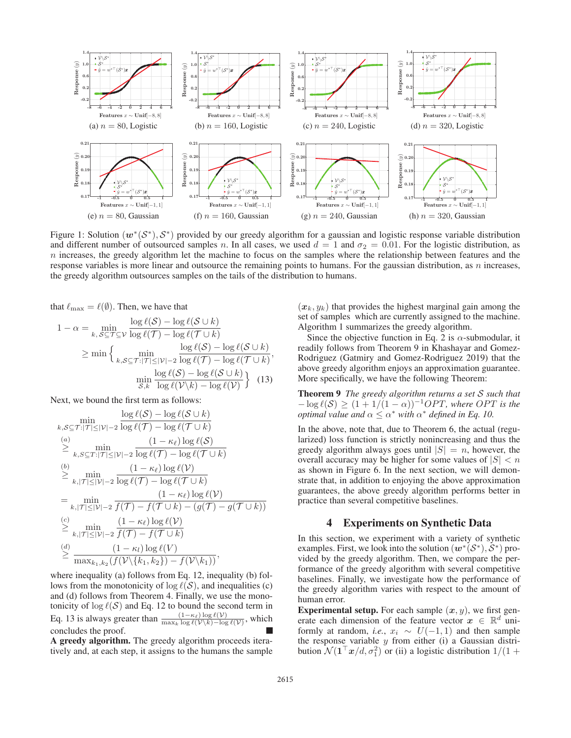

Figure 1: Solution (*w*∗(S∗), S∗) provided by our greedy algorithm for a gaussian and logistic response variable distribution and different number of outsourced samples n. In all cases, we used  $d = 1$  and  $\sigma_2 = 0.01$ . For the logistic distribution, as  $n$  increases, the greedy algorithm let the machine to focus on the samples where the relationship between features and the response variables is more linear and outsource the remaining points to humans. For the gaussian distribution, as  $n$  increases, the greedy algorithm outsources samples on the tails of the distribution to humans.

that  $\ell_{\text{max}} = \ell(\emptyset)$ . Then, we have that

$$
1 - \alpha = \min_{k, S \subseteq \mathcal{T} \subseteq \mathcal{V}} \frac{\log \ell(\mathcal{S}) - \log \ell(\mathcal{S} \cup k)}{\log \ell(\mathcal{T}) - \log \ell(\mathcal{T} \cup k)}
$$
  
\n
$$
\geq \min \left\{ \min_{k, S \subseteq \mathcal{T}: |\mathcal{T}| \leq |\mathcal{V}| - 2} \frac{\log \ell(\mathcal{S}) - \log \ell(\mathcal{S} \cup k)}{\log \ell(\mathcal{T}) - \log \ell(\mathcal{T} \cup k)}, \right\}
$$
  
\n
$$
\min_{\mathcal{S}, k} \frac{\log \ell(\mathcal{S}) - \log \ell(\mathcal{S} \cup k)}{\log \ell(\mathcal{V} \setminus k) - \log \ell(\mathcal{V})} \right\} (13)
$$

Next, we bound the first term as follows:

$$
\min_{k,S\subseteq\mathcal{T}:|\mathcal{T}|\leq|\mathcal{V}|-2}\frac{\log \ell(S)-\log \ell(\mathcal{S}\cup k)}{\log \ell(\mathcal{T})-\log \ell(\mathcal{T}\cup k)}
$$
\n
$$
\geq \min_{k,S\subseteq\mathcal{T}:|\mathcal{T}|\leq|\mathcal{V}|-2}\frac{(1-\kappa_{\ell})\log \ell(\mathcal{S})}{\log \ell(\mathcal{T})-\log \ell(\mathcal{T}\cup k)}
$$
\n
$$
\stackrel{(b)}{\geq} \min_{k,|\mathcal{T}|\leq|\mathcal{V}|-2}\frac{(1-\kappa_{\ell})\log \ell(\mathcal{V})}{\log \ell(\mathcal{T})-\log \ell(\mathcal{T}\cup k)}
$$
\n
$$
= \min_{k,|\mathcal{T}|\leq|\mathcal{V}|-2}\frac{(1-\kappa_{\ell})\log \ell(\mathcal{V})}{f(\mathcal{T})-f(\mathcal{T}\cup k)-(g(\mathcal{T})-g(\mathcal{T}\cup k))}
$$
\n
$$
\stackrel{(c)}{\geq} \min_{k,|\mathcal{T}|\leq|\mathcal{V}|-2}\frac{(1-\kappa_{\ell})\log \ell(\mathcal{V})}{f(\mathcal{T})-f(\mathcal{T}\cup k)}
$$
\n
$$
\stackrel{(d)}{\geq} \frac{(1-\kappa_{\ell})\log \ell(\mathcal{V})}{\max_{k_1,k_2}(f(\mathcal{V}\setminus\{k_1,k_2\})-f(\mathcal{V}\setminus k_1))},
$$

where inequality (a) follows from Eq. 12, inequality (b) follows from the monotonicity of  $\log \ell(S)$ , and inequalities (c) and (d) follows from Theorem 4. Finally, we use the monotonicity of  $\log l(S)$  and Eq. 12 to bound the second term in Eq. 13 is always greater than  $\frac{(1-\kappa_{\ell})\log \ell(\mathcal{V})}{\max_{k} \log \ell(\mathcal{V}\backslash k)-\log \ell(\mathcal{V})}$ , which concludes the proof.

A greedy algorithm. The greedy algorithm proceeds iteratively and, at each step, it assigns to the humans the sample

 $(x_k, y_k)$  that provides the highest marginal gain among the set of samples which are currently assigned to the machine. Algorithm 1 summarizes the greedy algorithm.

Since the objective function in Eq. 2 is  $\alpha$ -submodular, it readily follows from Theorem 9 in Khashayar and Gomez-Rodriguez (Gatmiry and Gomez-Rodriguez 2019) that the above greedy algorithm enjoys an approximation guarantee. More specifically, we have the following Theorem:

Theorem 9 *The greedy algorithm returns a set* S *such that*  $-\log \ell(S) \geq (1 + 1/(1 - \alpha))^{-1} OPT$ , where *OPT* is the *optimal value and*  $\alpha \leq \alpha^*$  *with*  $\alpha^*$  *defined in Eq. 10.* 

In the above, note that, due to Theorem 6, the actual (regularized) loss function is strictly nonincreasing and thus the greedy algorithm always goes until  $|S| = n$ , however, the overall accuracy may be higher for some values of  $|S| < n$ as shown in Figure 6. In the next section, we will demonstrate that, in addition to enjoying the above approximation guarantees, the above greedy algorithm performs better in practice than several competitive baselines.

#### 4 Experiments on Synthetic Data

In this section, we experiment with a variety of synthetic examples. First, we look into the solution  $(w^*(S^*), S^*)$  provided by the greedy algorithm. Then, we compare the performance of the greedy algorithm with several competitive baselines. Finally, we investigate how the performance of the greedy algorithm varies with respect to the amount of human error.

**Experimental setup.** For each sample  $(x, y)$ , we first generate each dimension of the feature vector  $x \in \mathbb{R}^d$  uniformly at random, *i.e.*,  $x_i \sim U(-1, 1)$  and then sample the response variable  $y$  from either (i) a Gaussian distribution  $\mathcal{N}(\mathbf{1}^\top \mathbf{x}/d, \sigma_1^2)$  or (ii) a logistic distribution  $1/(1 + \sigma_1^2)$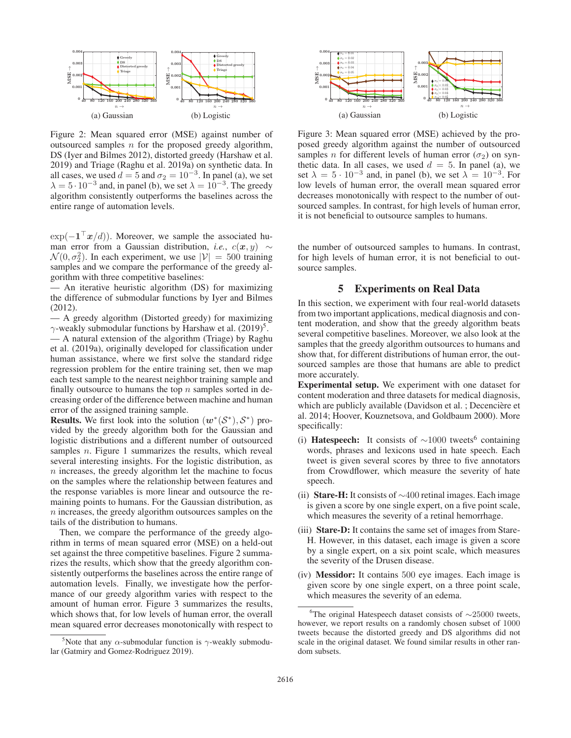

Figure 2: Mean squared error (MSE) against number of outsourced samples  $n$  for the proposed greedy algorithm, DS (Iyer and Bilmes 2012), distorted greedy (Harshaw et al. 2019) and Triage (Raghu et al. 2019a) on synthetic data. In all cases, we used  $d = 5$  and  $\sigma_2 = 10^{-3}$ . In panel (a), we set  $\lambda = 5 \cdot 10^{-3}$  and, in panel (b), we set  $\lambda = 10^{-3}$ . The greedy algorithm consistently outperforms the baselines across the entire range of automation levels.

 $\exp(-\mathbf{1}^\top \mathbf{x}/d)$ . Moreover, we sample the associated human error from a Gaussian distribution, *i.e.*,  $c(x, y) \sim$  $\mathcal{N}(0, \sigma_2^2)$ . In each experiment, we use  $|\mathcal{V}| = 500$  training samples and we compare the performance of the greedy alsamples and we compare the performance of the greedy algorithm with three competitive baselines:

— An iterative heuristic algorithm (DS) for maximizing the difference of submodular functions by Iyer and Bilmes (2012).

— A greedy algorithm (Distorted greedy) for maximizing  $\gamma$ -weakly submodular functions by Harshaw et al. (2019)<sup>5</sup>.

— A natural extension of the algorithm (Triage) by Raghu et al. (2019a), originally developed for classification under human assistance, where we first solve the standard ridge regression problem for the entire training set, then we map each test sample to the nearest neighbor training sample and finally outsource to humans the top  $n$  samples sorted in decreasing order of the difference between machine and human error of the assigned training sample.

**Results.** We first look into the solution  $(w^*(S^*), S^*)$  provided by the greedy algorithm both for the Gaussian and logistic distributions and a different number of outsourced samples  $n$ . Figure 1 summarizes the results, which reveal several interesting insights. For the logistic distribution, as n increases, the greedy algorithm let the machine to focus on the samples where the relationship between features and the response variables is more linear and outsource the remaining points to humans. For the Gaussian distribution, as n increases, the greedy algorithm outsources samples on the tails of the distribution to humans.

Then, we compare the performance of the greedy algorithm in terms of mean squared error (MSE) on a held-out set against the three competitive baselines. Figure 2 summarizes the results, which show that the greedy algorithm consistently outperforms the baselines across the entire range of automation levels. Finally, we investigate how the performance of our greedy algorithm varies with respect to the amount of human error. Figure 3 summarizes the results, which shows that, for low levels of human error, the overall mean squared error decreases monotonically with respect to



Figure 3: Mean squared error (MSE) achieved by the proposed greedy algorithm against the number of outsourced samples *n* for different levels of human error ( $\sigma_2$ ) on synthetic data. In all cases, we used  $d = 5$ . In panel (a), we set  $\lambda = 5 \cdot 10^{-3}$  and, in panel (b), we set  $\lambda = 10^{-3}$ . For low levels of human error, the overall mean squared error decreases monotonically with respect to the number of outsourced samples. In contrast, for high levels of human error, it is not beneficial to outsource samples to humans.

the number of outsourced samples to humans. In contrast, for high levels of human error, it is not beneficial to outsource samples.

#### 5 Experiments on Real Data

In this section, we experiment with four real-world datasets from two important applications, medical diagnosis and content moderation, and show that the greedy algorithm beats several competitive baselines. Moreover, we also look at the samples that the greedy algorithm outsources to humans and show that, for different distributions of human error, the outsourced samples are those that humans are able to predict more accurately.

Experimental setup. We experiment with one dataset for content moderation and three datasets for medical diagnosis, which are publicly available (Davidson et al. ; Decencière et al. 2014; Hoover, Kouznetsova, and Goldbaum 2000). More specifically:

- (i) Hatespeech: It consists of  $\sim$ 1000 tweets<sup>6</sup> containing words, phrases and lexicons used in hate speech. Each tweet is given several scores by three to five annotators from Crowdflower, which measure the severity of hate speech.
- (ii) Stare-H: It consists of  $\sim$ 400 retinal images. Each image is given a score by one single expert, on a five point scale, which measures the severity of a retinal hemorrhage.
- (iii) Stare-D: It contains the same set of images from Stare-H. However, in this dataset, each image is given a score by a single expert, on a six point scale, which measures the severity of the Drusen disease.
- (iv) Messidor: It contains 500 eye images. Each image is given score by one single expert, on a three point scale, which measures the severity of an edema.

<sup>&</sup>lt;sup>5</sup>Note that any  $\alpha$ -submodular function is  $\gamma$ -weakly submodular (Gatmiry and Gomez-Rodriguez 2019).

<sup>6</sup> The original Hatespeech dataset consists of ∼25000 tweets, however, we report results on a randomly chosen subset of 1000 tweets because the distorted greedy and DS algorithms did not scale in the original dataset. We found similar results in other random subsets.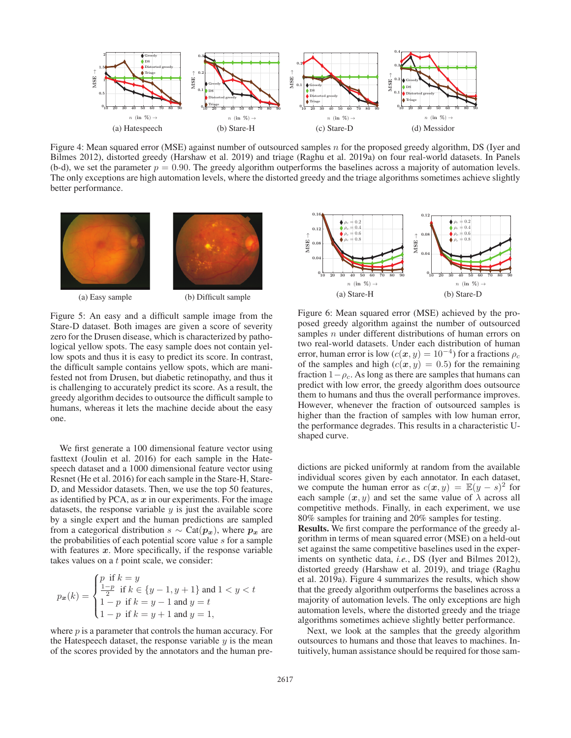

Figure 4: Mean squared error (MSE) against number of outsourced samples n for the proposed greedy algorithm, DS (Iyer and Bilmes 2012), distorted greedy (Harshaw et al. 2019) and triage (Raghu et al. 2019a) on four real-world datasets. In Panels (b-d), we set the parameter  $p = 0.90$ . The greedy algorithm outperforms the baselines across a majority of automation levels. The only exceptions are high automation levels, where the distorted greedy and the triage algorithms sometimes achieve slightly better performance.



(a) Easy sample (b) Difficult sample

Figure 5: An easy and a difficult sample image from the Stare-D dataset. Both images are given a score of severity zero for the Drusen disease, which is characterized by pathological yellow spots. The easy sample does not contain yellow spots and thus it is easy to predict its score. In contrast, the difficult sample contains yellow spots, which are manifested not from Drusen, but diabetic retinopathy, and thus it is challenging to accurately predict its score. As a result, the greedy algorithm decides to outsource the difficult sample to humans, whereas it lets the machine decide about the easy one.

We first generate a 100 dimensional feature vector using fasttext (Joulin et al. 2016) for each sample in the Hatespeech dataset and a 1000 dimensional feature vector using Resnet (He et al. 2016) for each sample in the Stare-H, Stare-D, and Messidor datasets. Then, we use the top 50 features, as identified by PCA, as *x* in our experiments. For the image datasets, the response variable  $y$  is just the available score by a single expert and the human predictions are sampled from a categorical distribution  $s \sim \text{Cat}(p_x)$ , where  $p_x$  are the probabilities of each potential score value s for a sample with features  $x$ . More specifically, if the response variable takes values on a t point scale, we consider:

$$
p_{\mathbf{x}}(k) = \begin{cases} p \text{ if } k = y \\ \frac{1-p}{2} \text{ if } k \in \{y-1, y+1\} \text{ and } 1 < y < t \\ 1-p \text{ if } k = y-1 \text{ and } y = t \\ 1-p \text{ if } k = y+1 \text{ and } y = 1, \end{cases}
$$

where  $p$  is a parameter that controls the human accuracy. For the Hatespeech dataset, the response variable  $y$  is the mean of the scores provided by the annotators and the human pre-



Figure 6: Mean squared error (MSE) achieved by the proposed greedy algorithm against the number of outsourced samples *n* under different distributions of human errors on two real-world datasets. Under each distribution of human error, human error is low  $(c(x, y) = 10^{-4})$  for a fractions  $\rho_c$ of the samples and high  $(c(x, y) = 0.5)$  for the remaining fraction  $1-\rho_c$ . As long as there are samples that humans can predict with low error, the greedy algorithm does outsource them to humans and thus the overall performance improves. However, whenever the fraction of outsourced samples is higher than the fraction of samples with low human error, the performance degrades. This results in a characteristic Ushaped curve.

dictions are picked uniformly at random from the available individual scores given by each annotator. In each dataset, we compute the human error as  $c(x, y) = \mathbb{E}(y - s)^2$  for each sample  $(x, y)$  and set the same value of  $\lambda$  across all competitive methods. Finally, in each experiment, we use 80% samples for training and 20% samples for testing.

Results. We first compare the performance of the greedy algorithm in terms of mean squared error (MSE) on a held-out set against the same competitive baselines used in the experiments on synthetic data, *i.e.*, DS (Iyer and Bilmes 2012), distorted greedy (Harshaw et al. 2019), and triage (Raghu et al. 2019a). Figure 4 summarizes the results, which show that the greedy algorithm outperforms the baselines across a majority of automation levels. The only exceptions are high automation levels, where the distorted greedy and the triage algorithms sometimes achieve slightly better performance.

Next, we look at the samples that the greedy algorithm outsources to humans and those that leaves to machines. Intuitively, human assistance should be required for those sam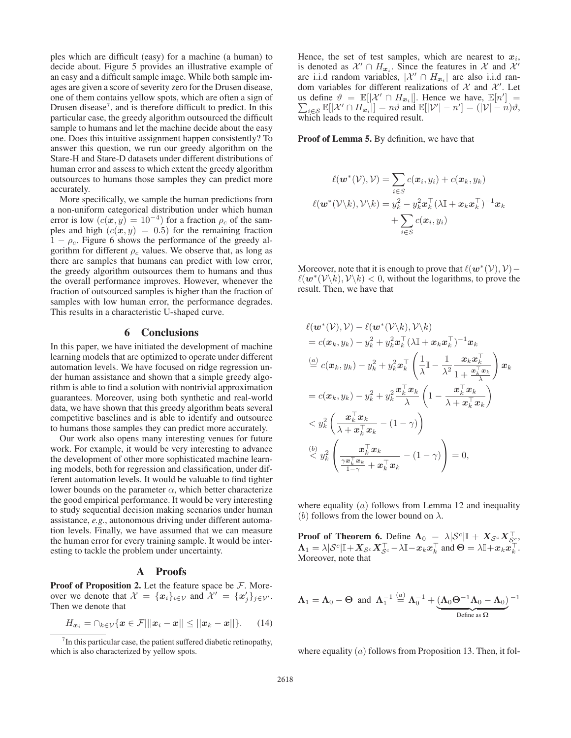ples which are difficult (easy) for a machine (a human) to decide about. Figure 5 provides an illustrative example of an easy and a difficult sample image. While both sample images are given a score of severity zero for the Drusen disease, one of them contains yellow spots, which are often a sign of Drusen disease<sup> $7$ </sup>, and is therefore difficult to predict. In this particular case, the greedy algorithm outsourced the difficult sample to humans and let the machine decide about the easy one. Does this intuitive assignment happen consistently? To answer this question, we run our greedy algorithm on the Stare-H and Stare-D datasets under different distributions of human error and assess to which extent the greedy algorithm outsources to humans those samples they can predict more accurately.

More specifically, we sample the human predictions from a non-uniform categorical distribution under which human error is low  $(c(x, y) = 10^{-4})$  for a fraction  $\rho_c$  of the samples and high  $(c(x, y) = 0.5)$  for the remaining fraction  $1 - \rho_c$ . Figure 6 shows the performance of the greedy algorithm for different  $\rho_c$  values. We observe that, as long as there are samples that humans can predict with low error, the greedy algorithm outsources them to humans and thus the overall performance improves. However, whenever the fraction of outsourced samples is higher than the fraction of samples with low human error, the performance degrades. This results in a characteristic U-shaped curve.

#### 6 Conclusions

In this paper, we have initiated the development of machine learning models that are optimized to operate under different automation levels. We have focused on ridge regression under human assistance and shown that a simple greedy algorithm is able to find a solution with nontrivial approximation guarantees. Moreover, using both synthetic and real-world data, we have shown that this greedy algorithm beats several competitive baselines and is able to identify and outsource to humans those samples they can predict more accurately.

Our work also opens many interesting venues for future work. For example, it would be very interesting to advance the development of other more sophisticated machine learning models, both for regression and classification, under different automation levels. It would be valuable to find tighter lower bounds on the parameter  $\alpha$ , which better characterize the good empirical performance. It would be very interesting to study sequential decision making scenarios under human assistance, *e.g.*, autonomous driving under different automation levels. Finally, we have assumed that we can measure the human error for every training sample. It would be interesting to tackle the problem under uncertainty.

#### A Proofs

**Proof of Proposition 2.** Let the feature space be  $\mathcal{F}$ . Moreover we denote that  $\mathcal{X} = \{x_i\}_{i \in \mathcal{V}}$  and  $\mathcal{X}' = \{x'_j\}_{j \in \mathcal{V}'}$ . Then we denote that

$$
H_{\boldsymbol{x}_i} = \bigcap_{k \in \mathcal{V}} \{ \boldsymbol{x} \in \mathcal{F} \middle| ||\boldsymbol{x}_i - \boldsymbol{x}|| \le ||\boldsymbol{x}_k - \boldsymbol{x}|| \}.
$$
 (14)

Hence, the set of test samples, which are nearest to  $x_i$ , is denoted as  $\mathcal{X}' \cap H_{x_i}$ . Since the features in X and X' are i.i.d random variables,  $|\mathcal{X}' \cap H_{x_i}|$  are also i.i.d random variables for different realizations of  $X$  and  $X'$ . Let us define  $\vartheta = \mathbb{E}[X' \cap H_{x_i}].$  Hence we have,  $\mathbb{E}[n']$  $\sum$  $\vert$  =  $\iota \in S \mathbb{E}[|\mathcal{X}' \cap H_{\boldsymbol{x}_i}||] = n\vartheta$  and  $\mathbb{E}[|\mathcal{V}'| - n'] = (|\mathcal{V}| - n)\vartheta$ , which leads to the required result.

Proof of Lemma 5. By definition, we have that

$$
\ell(\boldsymbol{w}^{*}(\mathcal{V}), \mathcal{V}) = \sum_{i \in S} c(\boldsymbol{x}_{i}, y_{i}) + c(\boldsymbol{x}_{k}, y_{k})
$$

$$
\ell(\boldsymbol{w}^{*}(\mathcal{V}\backslash k), \mathcal{V}\backslash k) = y_{k}^{2} - y_{k}^{2} \boldsymbol{x}_{k}^{\top} (\lambda \mathbb{I} + \boldsymbol{x}_{k} \boldsymbol{x}_{k}^{\top})^{-1} \boldsymbol{x}_{k}
$$

$$
+ \sum_{i \in S} c(\boldsymbol{x}_{i}, y_{i})
$$

Moreover, note that it is enough to prove that  $\ell(\mathbf{w}^*(\mathcal{V}), \mathcal{V})$  –  $\ell(\mathbf{w}^*(\mathcal{V}\backslash k), \mathcal{V}\backslash k)$  < 0, without the logarithms, to prove the result. Then, we have that

$$
\ell(\boldsymbol{w}^{*}(\mathcal{V}), \mathcal{V}) - \ell(\boldsymbol{w}^{*}(\mathcal{V}\backslash k), \mathcal{V}\backslash k) \n= c(\boldsymbol{x}_{k}, y_{k}) - y_{k}^{2} + y_{k}^{2} \boldsymbol{x}_{k}^{\top} (\lambda \mathbb{I} + \boldsymbol{x}_{k} \boldsymbol{x}_{k}^{\top})^{-1} \boldsymbol{x}_{k} \n\stackrel{(a)}{=} c(\boldsymbol{x}_{k}, y_{k}) - y_{k}^{2} + y_{k}^{2} \boldsymbol{x}_{k}^{\top} \left(\frac{1}{\lambda} \mathbb{I} - \frac{1}{\lambda^{2}} \frac{\boldsymbol{x}_{k} \boldsymbol{x}_{k}^{\top}}{1 + \frac{\boldsymbol{x}_{k}^{\top} \boldsymbol{x}_{k}}{1 - \lambda^{2}}\right) \boldsymbol{x}_{k} \n= c(\boldsymbol{x}_{k}, y_{k}) - y_{k}^{2} + y_{k}^{2} \frac{\boldsymbol{x}_{k}^{\top} \boldsymbol{x}_{k}}{\lambda} \left(1 - \frac{\boldsymbol{x}_{k}^{\top} \boldsymbol{x}_{k}}{\lambda + \boldsymbol{x}_{k}^{\top} \boldsymbol{x}_{k}}\right) \n< y_{k}^{2} \left(\frac{\boldsymbol{x}_{k}^{\top} \boldsymbol{x}_{k}}{\lambda + \boldsymbol{x}_{k}^{\top} \boldsymbol{x}_{k}} - (1 - \gamma)\right) \n\stackrel{(b)}{\leq} y_{k}^{2} \left(\frac{\boldsymbol{x}_{k}^{\top} \boldsymbol{x}_{k}}{\frac{\boldsymbol{x}_{k}^{\top} \boldsymbol{x}_{k}}{1 - \gamma} + \boldsymbol{x}_{k}^{\top} \boldsymbol{x}_{k}} - (1 - \gamma)\right) = 0,
$$

where equality  $(a)$  follows from Lemma 12 and inequality (b) follows from the lower bound on  $\lambda$ .

**Proof of Theorem 6.** Define  $\Lambda_0 = \lambda |\mathcal{S}^c| \mathbb{I} + X_{\mathcal{S}^c} X_{\mathcal{S}^c}^\top$  $\Lambda_1 = \lambda \vert \mathcal{S}^c \vert \mathbb{I} + X_{\mathcal{S}^c} X_{\mathcal{S}^c}^\top - \lambda \mathbb{I} - x_k x_k^\top$  and  $\Theta = \lambda \mathbb{I} + x_k x_k^\top$ . Moreover, note that

$$
\boldsymbol{\Lambda}_1 = \boldsymbol{\Lambda}_0 - \boldsymbol{\Theta} \ \ \text{and} \ \ \boldsymbol{\Lambda}_1^{-1} \overset{(a)}{=} \boldsymbol{\Lambda}_0^{-1} + \underbrace{(\boldsymbol{\Lambda}_0 \boldsymbol{\Theta}^{-1} \boldsymbol{\Lambda}_0 - \boldsymbol{\Lambda}_0)}_{\text{Define as } \boldsymbol{\Omega}}^{-1}
$$

where equality  $(a)$  follows from Proposition 13. Then, it fol-

 $7$ In this particular case, the patient suffered diabetic retinopathy, which is also characterized by yellow spots.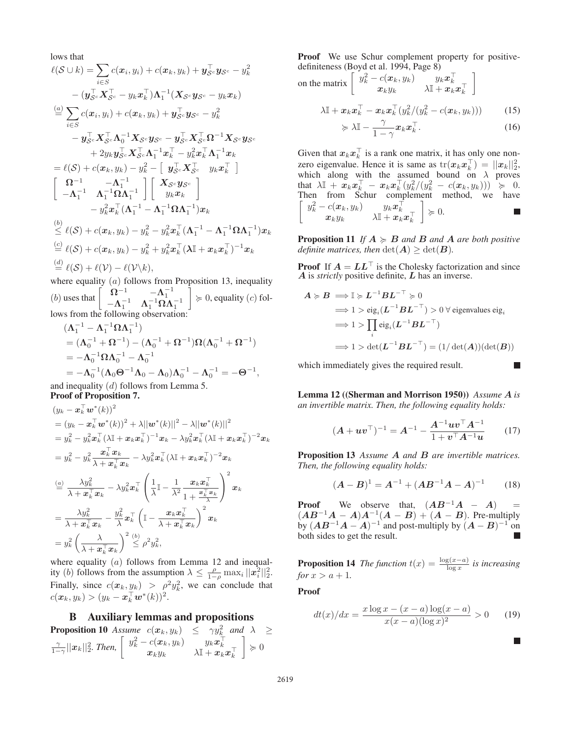lows that

$$
\ell(\mathcal{S} \cup k) = \sum_{i \in S} c(x_i, y_i) + c(x_k, y_k) + y_{\mathcal{S}^c}^{\top} y_{\mathcal{S}^c} - y_k^2
$$
  
\n
$$
- (y_{\mathcal{S}^c}^{\top} \mathbf{X}_{\mathcal{S}^c}^{\top} - y_k \mathbf{x}_k^{\top}) \mathbf{\Lambda}_1^{-1} (\mathbf{X}_{\mathcal{S}^c} y_{\mathcal{S}^c} - y_k \mathbf{x}_k)
$$
  
\n
$$
\stackrel{(a)}{=} \sum_{i \in S} c(x_i, y_i) + c(x_k, y_k) + y_{\mathcal{S}^c}^{\top} y_{\mathcal{S}^c} - y_k^2
$$
  
\n
$$
- y_{\mathcal{S}^c}^{\top} \mathbf{X}_{\mathcal{S}^c}^{\top} \mathbf{\Lambda}_0^{-1} \mathbf{X}_{\mathcal{S}^c} y_{\mathcal{S}^c} - y_{\mathcal{S}^c}^{\top} \mathbf{X}_{\mathcal{S}^c}^{\top} \mathbf{\Omega}^{-1} \mathbf{X}_{\mathcal{S}^c} y_{\mathcal{S}^c}
$$
  
\n
$$
+ 2y_k y_{\mathcal{S}^c}^{\top} \mathbf{X}_{\mathcal{S}^c}^{\top} \mathbf{\Lambda}_1^{-1} \mathbf{x}_k^{\top} - y_k^2 \mathbf{x}_k^{\top} \mathbf{\Lambda}_1^{-1} \mathbf{x}_k
$$
  
\n
$$
= \ell(\mathcal{S}) + c(x_k, y_k) - y_k^2 - \left[ y_{\mathcal{S}^c}^{\top} \mathbf{X}_{\mathcal{S}^c}^{\top} y_k \mathbf{x}_k^{\top} \right]
$$
  
\n
$$
\left[ \begin{array}{cc} \mathbf{\Omega}^{-1} & -\mathbf{\Lambda}_1^{-1} \\ -\mathbf{\Lambda}_1^{-1} & \mathbf{\Lambda}_1^{-1} \mathbf{\Omega} \mathbf{\Lambda}_1^{-1} \end{array} \right] \left[ \begin{array}{c} X_{\mathcal{S}^c} y_{\mathcal{S}^c} \\ y_k x_k \end{array} \right]
$$
  
\n
$$
- y_k^2 x_k^{\top} (\mathbf{\Lambda}_1^{-1} - \mathbf{\Lambda
$$

where equality  $(a)$  follows from Proposition 13, inequality (b) uses that  $\begin{bmatrix} \Omega^{-1} & -\Lambda_1^{-1} \\ -\Lambda_1^{-1} & \Lambda_1^{-1} \Omega \Lambda_1^{-1} \end{bmatrix}$ 1 lows from the following observation:  $\Big] \geq 0$ , equality  $(c)$  fol-

$$
(\Lambda_1^{-1} - \Lambda_1^{-1} \Omega \Lambda_1^{-1})
$$
  
=  $(\Lambda_0^{-1} + \Omega^{-1}) - (\Lambda_0^{-1} + \Omega^{-1})\Omega(\Lambda_0^{-1} + \Omega^{-1})$   
=  $-\Lambda_0^{-1} \Omega \Lambda_0^{-1} - \Lambda_0^{-1}$   
=  $-\Lambda_0^{-1} (\Lambda_0 \Theta^{-1} \Lambda_0 - \Lambda_0) \Lambda_0^{-1} - \Lambda_0^{-1} = -\Theta^{-1}$ ,  
and inequality *(d)* follows from Lemma 5.

Proof of Proposition 7.

$$
(y_k - \mathbf{x}_k^{\top} \mathbf{w}^*(k))^2
$$
  
\n
$$
= (y_k - \mathbf{x}_k^{\top} \mathbf{w}^*(k))^2 + \lambda ||\mathbf{w}^*(k)||^2 - \lambda ||\mathbf{w}^*(k)||^2
$$
  
\n
$$
= y_k^2 - y_k^2 \mathbf{x}_k^{\top} (\lambda \mathbf{I} + \mathbf{x}_k \mathbf{x}_k^{\top})^{-1} \mathbf{x}_k - \lambda y_k^2 \mathbf{x}_k^{\top} (\lambda \mathbf{I} + \mathbf{x}_k \mathbf{x}_k^{\top})^{-2} \mathbf{x}_k
$$
  
\n
$$
= y_k^2 - y_k^2 \frac{\mathbf{x}_k^{\top} \mathbf{x}_k}{\lambda + \mathbf{x}_k^{\top} \mathbf{x}_k} - \lambda y_k^2 \mathbf{x}_k^{\top} (\lambda \mathbf{I} + \mathbf{x}_k \mathbf{x}_k^{\top})^{-2} \mathbf{x}_k
$$
  
\n
$$
\stackrel{(a)}{=} \frac{\lambda y_k^2}{\lambda + \mathbf{x}_k^{\top} \mathbf{x}_k} - \lambda y_k^2 \mathbf{x}_k^{\top} \left(\frac{1}{\lambda} \mathbf{I} - \frac{1}{\lambda^2} \frac{\mathbf{x}_k \mathbf{x}_k^{\top}}{1 + \frac{\mathbf{x}_k^{\top} \mathbf{x}_k}{\lambda}\right)^2 \mathbf{x}_k
$$
  
\n
$$
= \frac{\lambda y_k^2}{\lambda + \mathbf{x}_k^{\top} \mathbf{x}_k} - \frac{y_k^2}{\lambda} \mathbf{x}_k^{\top} (\mathbf{I} - \frac{\mathbf{x}_k \mathbf{x}_k^{\top}}{\lambda + \mathbf{x}_k^{\top} \mathbf{x}_k})^2 \mathbf{x}_k
$$
  
\n
$$
= y_k^2 (\frac{\lambda}{\lambda + \mathbf{x}_k^{\top} \mathbf{x}_k})^2 \leq \rho^2 y_k^2,
$$

where equality  $(a)$  follows from Lemma 12 and inequality (b) follows from the assumption  $\lambda \leq \frac{\rho}{1-\rho} \max_i ||x_i^2||_2^2$ . (*v*) follows from the assumption  $\lambda \leq \frac{1}{1-\rho} \max_i ||x_i||_2$ .<br>Finally, since  $c(x_k, y_k) > \rho^2 y_k^2$ , we can conclude that  $c(\boldsymbol{x}_k, y_k) > (y_k - \boldsymbol{x}_k^{\top} \boldsymbol{w}^*(k))^2.$ 

#### B Auxiliary lemmas and propositions

**Proposition 10** Assume  $c(\boldsymbol{x}_k, y_k) \leq \gamma y_k^2$  and  $\lambda \geq$  $\frac{\gamma}{1-\gamma}||\boldsymbol{x}_k||_2^2$ . Then,  $\begin{bmatrix} y_k^2-c(\boldsymbol{x}_k,y_k) & y_k\boldsymbol{x}_k^\top \ \boldsymbol{x}_ky_k & \lambda \mathbb{I} + \boldsymbol{x}_k\boldsymbol{x}_k^\top \end{bmatrix}$  $\Big] \succcurlyeq 0$ 

Proof We use Schur complement property for positivedefiniteness (Boyd et al. 1994, Page 8)

on the matrix 
$$
\begin{bmatrix} y_k^2 - c(\boldsymbol{x}_k, y_k) & y_k \boldsymbol{x}_k^{\top} \\ \boldsymbol{x}_k y_k & \lambda \mathbb{I} + \boldsymbol{x}_k \boldsymbol{x}_k^{\top} \end{bmatrix}
$$

$$
\lambda \mathbb{I} + \boldsymbol{x}_k \boldsymbol{x}_k^{\top} - \boldsymbol{x}_k \boldsymbol{x}_k^{\top} (y_k^2 / (y_k^2 - c(\boldsymbol{x}_k, y_k))) \ge \lambda \mathbb{I} - \frac{\gamma}{1 - \boldsymbol{x}_k \boldsymbol{x}_k^{\top}}. \tag{15}
$$

$$
\succcurlyeq \lambda \mathbb{I} - \frac{1}{1-\gamma} x_k x_k^{\top}.
$$
 (16)

Given that  $x_k x_k^{\perp}$  is a rank one matrix, it has only one nonzero eigenvalue. Hence it is same as  $tr(x_k x_k^{\dagger}) = ||x_k||_2^2$ ,<br>which along with the assumed bound on  $\lambda$  proves which along with the assumed bound on  $\lambda$  proves that  $\lambda \mathbb{I} + \tilde{x}_k x_k^{\top} - x_k x_k^{\top} (y_k^2/(y_k^2 - c(x_k, y_k))) \geq 0.$ Then from Schur complement method, we have  $\left[ \begin{array}{cc} y_k^2 - c(\boldsymbol{x}_k, y_k) & y_k \boldsymbol{x}_k^\top \ \boldsymbol{x}_k y_k & \lambda \mathbb{I} + \boldsymbol{x}_k \boldsymbol{x}_k^\top \end{array} \right]$  $\Big\} \succcurlyeq 0.$ 

**Proposition 11** If  $A \geq B$  and  $B$  and  $A$  are both positive *definite matrices, then*  $\det(A) \geq \det(B)$ *.* 

**Proof** If  $A = LL^\top$  is the Cholesky factorization and since *A* is *strictly* positive definite, *L* has an inverse.

$$
\mathbf{A} \succcurlyeq \mathbf{B} \implies \mathbb{I} \succcurlyeq \mathbf{L}^{-1} \mathbf{B} \mathbf{L}^{-\top} \succcurlyeq 0
$$
\n
$$
\implies 1 > \text{eig}_i(\mathbf{L}^{-1} \mathbf{B} \mathbf{L}^{-\top}) > 0 \,\forall \text{ eigenvalues } \text{eig}_i
$$
\n
$$
\implies 1 > \prod_i \text{eig}_i(\mathbf{L}^{-1} \mathbf{B} \mathbf{L}^{-\top})
$$
\n
$$
\implies 1 > \text{det}(\mathbf{L}^{-1} \mathbf{B} \mathbf{L}^{-\top}) = (1/\det(\mathbf{A}))(\text{det}(\mathbf{B}))
$$

which immediately gives the required result.

Lemma 12 ((Sherman and Morrison 1950)) *Assume A is an invertible matrix. Then, the following equality holds:*

$$
(A + uvT)-1 = A-1 - \frac{A-1uvTA-1}{1 + vTA-1u}
$$
 (17)

Proposition 13 *Assume A and B are invertible matrices. Then, the following equality holds:*

$$
(A - B)^{1} = A^{-1} + (AB^{-1}A - A)^{-1}
$$
 (18)

**Proof** We observe that,  $(AB^{-1}A - A)$  =  $(AB^{-1}A - A)A^{-1}(A - B) + (A - B)$ . Pre-multiply by  $(AB^{-1}A - A)^{-1}$  and post-multiply by  $(A - B)^{-1}$  on both sides to get the result.

**Proposition 14** *The function*  $t(x) = \frac{\log(x-a)}{\log x}$  *is increasing*  $\frac{\log x}{\log x} > a + 1$ *for*  $x > a + 1$ *.* 

Proof

*A* -

$$
dt(x)/dx = \frac{x \log x - (x - a) \log(x - a)}{x(x - a)(\log x)^2} > 0
$$
 (19)

 $\Box$